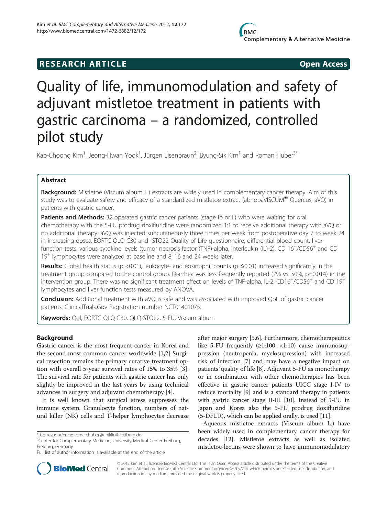# **RESEARCH ARTICLE Example 2018 12:00 Open Access**

# Quality of life, immunomodulation and safety of adjuvant mistletoe treatment in patients with gastric carcinoma – a randomized, controlled pilot study

Kab-Choong Kim<sup>1</sup>, Jeong-Hwan Yook<sup>1</sup>, Jürgen Eisenbraun<sup>2</sup>, Byung-Sik Kim<sup>1</sup> and Roman Huber<sup>3\*</sup>

## Abstract

Background: Mistletoe (Viscum album L.) extracts are widely used in complementary cancer therapy. Aim of this study was to evaluate safety and efficacy of a standardized mistletoe extract (abnobaVISCUM® Quercus, aVQ) in patients with gastric cancer.

**Patients and Methods:** 32 operated gastric cancer patients (stage Ib or II) who were waiting for oral chemotherapy with the 5-FU prodrug doxifluridine were randomized 1:1 to receive additional therapy with aVQ or no additional therapy. aVQ was injected subcutaneously three times per week from postoperative day 7 to week 24 in increasing doses. EORTC QLQ-C30 and -STO22 Quality of Life questionnaire, differential blood count, liver function tests, various cytokine levels (tumor necrosis factor (TNF)-alpha, interleukin (IL)-2), CD 16<sup>+</sup>/CD56<sup>+</sup> and CD 19<sup>+</sup> lymphocytes were analyzed at baseline and 8, 16 and 24 weeks later.

Results: Global health status (p <0.01), leukocyte- and eosinophil counts (p  $\leq$ 0.01) increased significantly in the treatment group compared to the control group. Diarrhea was less frequently reported (7% vs. 50%, p=0.014) in the intervention group. There was no significant treatment effect on levels of TNF-alpha, IL-2, CD16<sup>+</sup>/CD56<sup>+</sup> and CD 19<sup>+</sup> lymphocytes and liver function tests measured by ANOVA.

Conclusion: Additional treatment with aVQ is safe and was associated with improved QoL of gastric cancer patients. ClinicalTrials.Gov Registration number NCT01401075.

Keywords: Qol, EORTC QLQ-C30, QLQ-STO22, 5-FU, Viscum album

## Background

Gastric cancer is the most frequent cancer in Korea and the second most common cancer worldwide [\[1,2](#page-5-0)] Surgical resection remains the primary curative treatment option with overall 5-year survival rates of 15% to 35% [\[3](#page-5-0)]. The survival rate for patients with gastric cancer has only slightly be improved in the last years by using technical advances in surgery and adjuvant chemotherapy [\[4\]](#page-5-0).

It is well known that surgical stress suppresses the immune system. Granulocyte function, numbers of natural killer (NK) cells and T-helper lymphocytes decrease

after major surgery [\[5,6\]](#page-5-0). Furthermore, chemotherapeutics like 5-FU frequently  $(≥1:100, <1:10)$  cause immunosuppression (neutropenia, myelosupression) with increased risk of infection [[7](#page-5-0)] and may have a negative impact on patients´quality of life [\[8](#page-5-0)]. Adjuvant 5-FU as monotherapy or in combination with other chemotherapies has been effective in gastric cancer patients UICC stage I-IV to reduce mortality [[9\]](#page-5-0) and is a standard therapy in patients with gastric cancer stage II-III [\[10\]](#page-5-0). Instead of 5-FU in Japan and Korea also the 5-FU prodrug doxifluridine (5-DFUR), which can be applied orally, is used [[11](#page-5-0)].

Aqueous mistletoe extracts (Viscum album L.) have been widely used in complementary cancer therapy for decades [[12](#page-6-0)]. Mistletoe extracts as well as isolated mistletoe-lectins were shown to have immunomodulatory



© 2012 Kim et al.; licensee BioMed Central Ltd. This is an Open Access article distributed under the terms of the Creative Commons Attribution License [\(http://creativecommons.org/licenses/by/2.0\)](http://creativecommons.org/licenses/by/2.0), which permits unrestricted use, distribution, and reproduction in any medium, provided the original work is properly cited.

<sup>\*</sup> Correspondence: [roman.huber@uniklinik-freiburg.de](mailto:roman.huber@uniklinik-reiburg.de) <sup>3</sup>

<sup>&</sup>lt;sup>3</sup> Center for Complementary Medicine, University Medical Center Freiburg, Freiburg, Germany

Full list of author information is available at the end of the article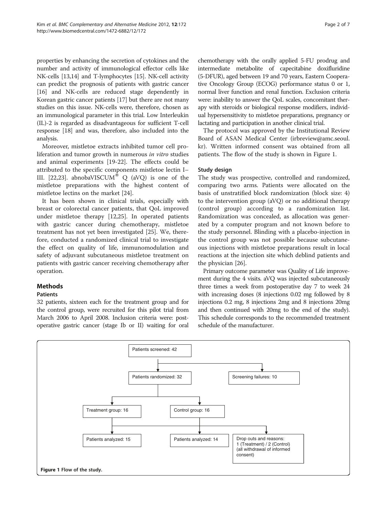properties by enhancing the secretion of cytokines and the number and activity of immunological effector cells like NK-cells [\[13,14\]](#page-6-0) and T-lymphocytes [[15](#page-6-0)]. NK-cell activity can predict the prognosis of patients with gastric cancer [[16](#page-6-0)] and NK-cells are reduced stage dependently in Korean gastric cancer patients [\[17\]](#page-6-0) but there are not many studies on this issue. NK-cells were, therefore, chosen as an immunological parameter in this trial. Low Interleukin (IL)-2 is regarded as disadvantageous for sufficient T-cell response [\[18\]](#page-6-0) and was, therefore, also included into the analysis.

Moreover, mistletoe extracts inhibited tumor cell proliferation and tumor growth in numerous in vitro studies and animal experiments [[19](#page-6-0)-[22\]](#page-6-0). The effects could be attributed to the specific components mistletoe lectin I– III. [\[22,23](#page-6-0)]. abnobaVISCUM<sup>®</sup> Q (aVQ) is one of the mistletoe preparations with the highest content of mistletoe lectins on the market [\[24](#page-6-0)].

It has been shown in clinical trials, especially with breast or colorectal cancer patients, that QoL improved under mistletoe therapy [\[12,25](#page-6-0)]. In operated patients with gastric cancer during chemotherapy, mistletoe treatment has not yet been investigated [\[25](#page-6-0)]. We, therefore, conducted a randomized clinical trial to investigate the effect on quality of life, immunomodulation and safety of adjuvant subcutaneous mistletoe treatment on patients with gastric cancer receiving chemotherapy after operation.

#### Methods

#### **Patients**

32 patients, sixteen each for the treatment group and for the control group, were recruited for this pilot trial from March 2006 to April 2008. Inclusion criteria were: postoperative gastric cancer (stage Ib or II) waiting for oral

chemotherapy with the orally applied 5-FU prodrug and intermediate metabolite of capecitabine doxifluridine (5-DFUR), aged between 19 and 70 years, Eastern Cooperative Oncology Group (ECOG) performance status 0 or 1, normal liver function and renal function. Exclusion criteria were: inability to answer the QoL scales, concomitant therapy with steroids or biological response modifiers, individual hypersensitivity to mistletoe preparations, pregnancy or lactating and participation in another clinical trial.

The protocol was approved by the Institutional Review Board of ASAN Medical Center (irbreview@amc.seoul. kr). Written informed consent was obtained from all patients. The flow of the study is shown in Figure 1.

#### Study design

The study was prospective, controlled and randomized, comparing two arms. Patients were allocated on the basis of unstratified block randomization (block size: 4) to the intervention group (aVQ) or no additional therapy (control group) according to a randomization list. Randomization was concealed, as allocation was generated by a computer program and not known before to the study personnel. Blinding with a placebo-injection in the control group was not possible because subcutaneous injections with mistletoe preparations result in local reactions at the injection site which deblind patients and the physician [[26\]](#page-6-0).

Primary outcome parameter was Quality of Life improvement during the 4 visits. aVQ was injected subcutaneously three times a week from postoperative day 7 to week 24 with increasing doses (8 injections 0.02 mg followed by 8 injections 0.2 mg, 8 injections 2mg and 8 injections 20mg and then continued with 20mg to the end of the study). This schedule corresponds to the recommended treatment schedule of the manufacturer.

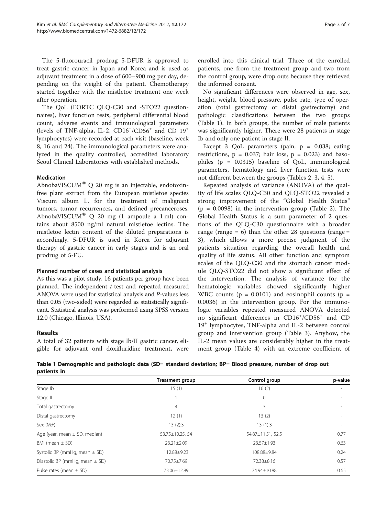The 5-fluorouracil prodrug 5-DFUR is approved to treat gastric cancer in Japan and Korea and is used as adjuvant treatment in a dose of 600–900 mg per day, depending on the weight of the patient. Chemotherapy started together with the mistletoe treatment one week after operation.

The QoL (EORTC QLQ-C30 and -STO22 questionnaires), liver function tests, peripheral differential blood count, adverse events and immunological parameters (levels of TNF-alpha, IL-2, CD16<sup>+</sup>/CD56<sup>+</sup> and CD 19<sup>+</sup> lymphocytes) were recorded at each visit (baseline, week 8, 16 and 24). The immunological parameters were analyzed in the quality controlled, accredited laboratory Seoul Clinical Laboratories with established methods.

#### Medication

AbnobaVISCUM<sup>®</sup> Q 20 mg is an injectable, endotoxinfree plant extract from the European mistletoe species Viscum album L. for the treatment of malignant tumors, tumor recurrences, and defined precanceroses. AbnobaVISCUM® Q 20 mg (1 ampoule a 1 ml) contains about 8500 ng/ml natural mistletoe lectins. The mistletoe lectin content of the diluted preparations is accordingly. 5-DFUR is used in Korea for adjuvant therapy of gastric cancer in early stages and is an oral prodrug of 5-FU.

#### Planned number of cases and statistical analysis

As this was a pilot study, 16 patients per group have been planned. The independent t-test and repeated measured ANOVA were used for statistical analysis and P-values less than 0.05 (two-sided) were regarded as statistically significant. Statistical analysis was performed using SPSS version 12.0 (Chicago, Illinois, USA).

#### Results

A total of 32 patients with stage Ib/II gastric cancer, eligible for adjuvant oral doxifluridine treatment, were enrolled into this clinical trial. Three of the enrolled patients, one from the treatment group and two from the control group, were drop outs because they retrieved the informed consent.

No significant differences were observed in age, sex, height, weight, blood pressure, pulse rate, type of operation (total gastrectomy or distal gastrectomy) and pathologic classifications between the two groups (Table 1). In both groups, the number of male patients was significantly higher. There were 28 patients in stage Ib and only one patient in stage II.

Except 3 QoL parameters (pain,  $p = 0.038$ ; eating restrictions,  $p = 0.037$ ; hair loss,  $p = 0.023$ ) and basophiles (p = 0.0315) baseline of QoL, immunological parameters, hematology and liver function tests were not different between the groups (Tables [2](#page-3-0), [3,](#page-3-0) [4](#page-4-0), [5](#page-4-0)).

Repeated analysis of variance (ANOVA) of the quality of life scales QLQ-C30 and QLQ-STO22 revealed a strong improvement of the "Global Health Status"  $(p = 0.0098)$  in the intervention group (Table [2](#page-3-0)). The Global Health Status is a sum parameter of 2 questions of the QLQ-C30 questionnaire with a broader range (range  $= 6$ ) than the other 28 questions (range  $=$ 3), which allows a more precise judgment of the patients situation regarding the overall health and quality of life status. All other function and symptom scales of the QLQ-C30 and the stomach cancer module QLQ-STO22 did not show a significant effect of the intervention. The analysis of variance for the hematologic variables showed significantly higher WBC counts ( $p = 0.0101$ ) and eosinophil counts ( $p =$ 0.0036) in the intervention group. For the immunologic variables repeated measured ANOVA detected no significant differences in CD16<sup>+</sup> /CD56<sup>+</sup> and CD 19<sup>+</sup> lymphocytes, TNF-alpha and IL-2 between control group and intervention group (Table [3\)](#page-3-0). Anyhow, the IL-2 mean values are considerably higher in the treatment group (Table [4\)](#page-4-0) with an extreme coefficient of

Table 1 Demographic and pathologic data (SD= standard deviation; BP= Blood pressure, number of drop out patients in

|                                    | <b>Treatment group</b> | Control group     | p-value |
|------------------------------------|------------------------|-------------------|---------|
| Stage Ib                           | 15(1)                  | 16(2)             |         |
| Stage II                           |                        | $\mathbf 0$       |         |
| Total gastrectomy                  | $\overline{4}$         | 3                 |         |
| Distal gastrectomy                 | 12(1)                  | 13(2)             |         |
| Sex (M:F)                          | 13(2):3                | 13(1):3           |         |
| Age (year, mean $\pm$ SD, median)  | 53.75±10.25, 54        | 54.87±11.51, 52.5 | 0.77    |
| BMI (mean $\pm$ SD)                | $23.21 \pm 2.09$       | 23.57±1.93        | 0.63    |
| Systolic BP (mmHg, mean $\pm$ SD)  | 112.88±9.23            | 108.88±9.84       | 0.24    |
| Diastolic BP (mmHg, mean $\pm$ SD) | 70.75+7.69             | 72.38±8.16        | 0.57    |
| Pulse rates (mean $\pm$ SD)        | 73.06±12.89            | 74.94±10.88       | 0.65    |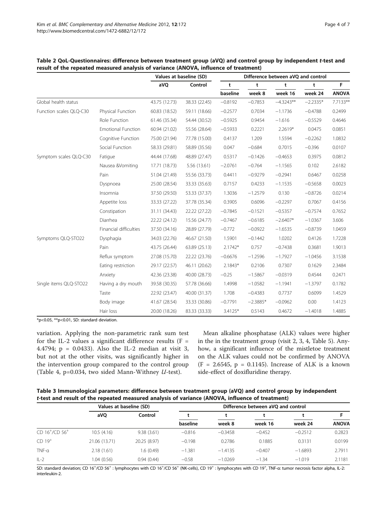|                         |                           |               | Values at baseline (SD) | Difference between aVQ and control |            |             |            |              |
|-------------------------|---------------------------|---------------|-------------------------|------------------------------------|------------|-------------|------------|--------------|
|                         |                           | aVQ           | Control                 | t                                  | t          | t           | t          | F            |
|                         |                           |               |                         | baseline                           | week 8     | week 16     | week 24    | <b>ANOVA</b> |
| Global health status    |                           | 43.75 (12.73) | 38.33 (22.45)           | $-0.8192$                          | $-0.7853$  | $-4.3243**$ | $-2.2335*$ | 7.7133**     |
| Function scales QLQ-C30 | Physical Function         | 60.83 (18.52) | 59.11 (18.66)           | $-0.2577$                          | 0.7034     | $-1.1736$   | $-0.4788$  | 0.2499       |
|                         | Role Function             | 61.46 (35.34) | 54.44 (30.52)           | $-0.5925$                          | 0.9454     | $-1.616$    | $-0.5529$  | 0.4646       |
|                         | <b>Emotional Function</b> | 60.94 (21.02) | 55.56 (28.64)           | $-0.5933$                          | 0.2221     | 2.2619*     | 0.0475     | 0.0851       |
|                         | Cognitive Function        | 75.00 (21.94) | 77.78 (15.00)           | 0.4137                             | 1.209      | 1.5594      | $-0.2262$  | 1.0832       |
|                         | Social Function           | 58.33 (29.81) | 58.89 (35.56)           | 0.047                              | $-0.684$   | 0.7015      | $-0.396$   | 0.0107       |
| Symptom scales QLQ-C30  | Fatigue                   | 44.44 (17.68) | 48.89 (27.47)           | 0.5317                             | $-0.1426$  | $-0.4653$   | 0.3975     | 0.0812       |
|                         | Nausea &Vomiting          | 17.71 (18.73) | 5.56 (13.61)            | $-2.0761$                          | $-0.764$   | $-1.1565$   | 0.102      | 2.6182       |
|                         | Pain                      | 51.04 (21.49) | 55.56 (33.73)           | 0.4411                             | $-0.9279$  | $-0.2941$   | 0.6467     | 0.0258       |
|                         | Dyspnoea                  | 25.00 (28.54) | 33.33 (35.63)           | 0.7157                             | 0.4233     | $-1.1535$   | $-0.5658$  | 0.0023       |
|                         | Insomnia                  | 37.50 (29.50) | 53.33 (37.37)           | 1.3036                             | $-1.2579$  | 0.130       | $-0.8726$  | 0.0214       |
|                         | Appetite loss             | 33.33 (27.22) | 37.78 (35.34)           | 0.3905                             | 0.6096     | $-0.2297$   | 0.7067     | 0.4156       |
|                         | Constipation              | 31.11 (34.43) | 22.22 (27.22)           | $-0.7845$                          | $-0.1521$  | $-0.5357$   | $-0.7574$  | 0.7652       |
|                         | Diarrhea                  | 22.22 (24.12) | 15.56 (24.77)           | $-0.7467$                          | $-0.6185$  | $-2.6407*$  | $-1.0367$  | 3.606        |
|                         | Financial difficulties    | 37.50 (34.16) | 28.89 (27.79)           | $-0.772$                           | $-0.0922$  | $-1.6535$   | $-0.8739$  | 1.0459       |
| Symptoms QLQ-STO22      | Dysphagia                 | 34.03 (22.76) | 46.67 (21.50)           | 1.5901                             | $-0.1442$  | 1.0202      | 0.4126     | 1.7228       |
|                         | Pain                      | 43.75 (26.44) | 63.89 (25.13)           | $2.1742*$                          | 0.757      | $-0.7438$   | 0.3681     | 1.9013       |
|                         | Reflux symptom            | 27.08 (15.70) | 22.22 (23.76)           | $-0.6676$                          | $-1.2596$  | $-1.7927$   | $-1.0456$  | 3.1538       |
|                         | Eating restriction        | 29.17 (22.57) | 46.11 (20.62)           | 2.1843*                            | 0.2106     | 0.7307      | 0.1629     | 2.3484       |
|                         | Anxiety                   | 42.36 (23.38) | 40.00 (28.73)           | $-0.25$                            | $-1.5867$  | $-0.0319$   | 0.4544     | 0.2471       |
| Single items QLQ-STO22  | Having a dry mouth        | 39.58 (30.35) | 57.78 (36.66)           | 1.4998                             | $-1.0582$  | $-1.1941$   | $-1.3797$  | 0.1782       |
|                         | Taste                     | 22.92 (23.47) | 40.00 (31.37)           | 1.708                              | $-0.4383$  | 0.7737      | 0.6099     | 1.4529       |
|                         | Body image                | 41.67 (28.54) | 33.33 (30.86)           | $-0.7791$                          | $-2.3885*$ | $-0.0962$   | 0.00       | 1.4123       |
|                         | Hair loss                 | 20.00 (18.26) | 83.33 (33.33)           | 3.4125*                            | 0.5143     | 0.4672      | $-1.4018$  | 1.4885       |

<span id="page-3-0"></span>Table 2 QoL-Questionnaires: difference between treatment group (aVQ) and control group by independent t-test and result of the repeated measured analysis of variance (ANOVA, influence of treatment)

\*p<0.05, \*\*p<0.01, SD: standard deviation.

variation. Applying the non-parametric rank sum test for the IL-2 values a significant difference results  $(F =$ 4.4794; p = 0.0433). Also the IL-2 median at visit 3, but not at the other visits, was significantly higher in the intervention group compared to the control group (Table [4](#page-4-0), p=0.034, two sided Mann-Withney U-test).

Mean alkaline phosphatase (ALK) values were higher in the in the treatment group (visit 2, 3, 4, Table [5\)](#page-4-0). Anyhow, a significant influence of the mistletoe treatment on the ALK values could not be confirmed by ANOVA  $(F = 2.6545, p = 0.1145)$ . Increase of ALK is a known side-effect of doxifluridine therapy.

| Table 3 Immunological parameters: difference between treatment group (aVQ) and control group by independent |
|-------------------------------------------------------------------------------------------------------------|
| t-test and result of the repeated measured analysis of variance (ANOVA, influence of treatment)             |

|                   | Values at baseline (SD) |              | Difference between aVO and control |           |          |           |              |
|-------------------|-------------------------|--------------|------------------------------------|-----------|----------|-----------|--------------|
|                   | aVO                     | Control      |                                    |           |          |           |              |
|                   |                         |              | baseline                           | week 8    | week 16  | week 24   | <b>ANOVA</b> |
| $CD 16^+/CD 56^+$ | 10.5(4.16)              | 9.38(3.61)   | $-0.816$                           | $-0.3458$ | $-0.452$ | $-0.2512$ | 0.2823       |
| $CD 19+$          | 21.06 (13.71)           | 20.25 (8.97) | $-0.198$                           | 0.2786    | 0.1885   | 0.3131    | 0.0199       |
| $TNF-\alpha$      | 2.18(1.61)              | 1.6(0.49)    | $-1.381$                           | $-1.4135$ | $-0.407$ | $-1.6893$ | 2.7911       |
| $IL-2$            | 1.04(0.56)              | 0.94(0.44)   | $-0.58$                            | $-1.0269$ | $-1.34$  | $-1.019$  | 2.1181       |

SD: standard deviation; CD 16<sup>+</sup>/CD 56<sup>+</sup> : lymphocytes with CD 16<sup>+</sup>/CD 56<sup>+</sup> (NK-cells), CD 19<sup>+</sup> : lymphocytes with CD 19<sup>+</sup>, TNF-a: tumor necrosis factor alpha, IL-2: interleukin-2.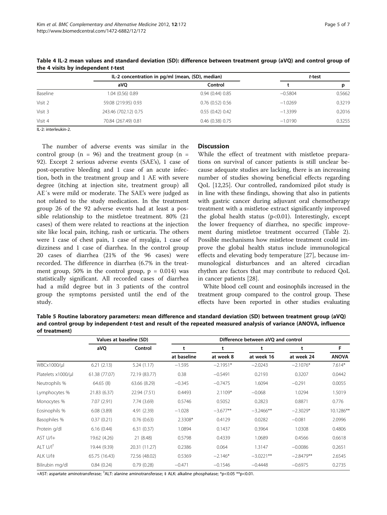|          | IL-2 concentration in pg/ml (mean, (SD), median) | t-test                 |           |        |
|----------|--------------------------------------------------|------------------------|-----------|--------|
|          | aVO                                              | Control                |           | D      |
| Baseline | 1.04 (0.56) 0.89                                 | 0.94(0.44)0.85         | $-0.5804$ | 0.5662 |
| Visit 2  | 59.08 (219.95) 0.93                              | 0.76(0.52)0.56         | $-1.0269$ | 0.3219 |
| Visit 3  | 243.46 (702.12) 0.75                             | 0.55(0.42)0.42         | $-1.3399$ | 0.2016 |
| Visit 4  | 70.84 (267.49) 0.81                              | $0.46$ $(0.38)$ $0.75$ | $-1.0190$ | 0.3255 |

<span id="page-4-0"></span>Table 4 IL-2 mean values and standard deviation (SD): difference between treatment group (aVQ) and control group of the 4 visits by independent t-test

IL-2: interleukin-2.

The number of adverse events was similar in the control group ( $n = 96$ ) and the treatment group ( $n =$ 92). Except 2 serious adverse events (SAE's), 1 case of post-operative bleeding and 1 case of an acute infection, both in the treatment group and 1 AE with severe degree (itching at injection site, treatment group) all AE´s were mild or moderate. The SAE's were judged as not related to the study medication. In the treatment group 26 of the 92 adverse events had at least a possible relationship to the mistletoe treatment. 80% (21 cases) of them were related to reactions at the injection site like local pain, itching, rash or urticaria. The others were 1 case of chest pain, 1 case of myalgia, 1 case of dizziness and 1 case of diarrhea. In the control group 20 cases of diarrhea (21% of the 96 cases) were recorded. The difference in diarrhea (6.7% in the treatment group, 50% in the control group,  $p = 0.014$ ) was statistically significant. All recorded cases of diarrhea had a mild degree but in 3 patients of the control group the symptoms persisted until the end of the study.

#### **Discussion**

While the effect of treatment with mistletoe preparations on survival of cancer patients is still unclear because adequate studies are lacking, there is an increasing number of studies showing beneficial effects regarding QoL [\[12,25](#page-6-0)]. Our controlled, randomized pilot study is in line with these findings, showing that also in patients with gastric cancer during adjuvant oral chemotherapy treatment with a mistletoe extract significantly improved the global health status (p<0.01). Interestingly, except the lower frequency of diarrhea, no specific improvement during mistletoe treatment occurred (Table [2](#page-3-0)). Possible mechanisms how mistletoe treatment could improve the global health status include immunological effects and elevating body temperature [[27\]](#page-6-0), because immunological disturbances and an altered circadian rhythm are factors that may contribute to reduced QoL in cancer patients [[28](#page-6-0)].

White blood cell count and eosinophils increased in the treatment group compared to the control group. These effects have been reported in other studies evaluating

Table 5 Routine laboratory parameters: mean difference and standard deviation (SD) between treatment group (aVQ) and control group by independent t-test and result of the repeated measured analysis of variance (ANOVA, influence of treatment)

|                      | Values at baseline (SD) |               | Difference between aVQ and control |            |             |             |              |
|----------------------|-------------------------|---------------|------------------------------------|------------|-------------|-------------|--------------|
|                      | aVQ                     | Control       |                                    |            |             |             | F            |
|                      |                         |               | at baseline                        | at week 8  | at week 16  | at week 24  | <b>ANOVA</b> |
| WBCx1000/µl          | 6.21(2.13)              | 5.24(1.17)    | $-1.595$                           | $-2.1951*$ | $-2.0243$   | $-2.1076*$  | $7.614*$     |
| Platelets x1000/µl   | 61.38 (77.07)           | 72.19 (83.77) | 0.38                               | $-0.5491$  | 0.2193      | 0.3207      | 0.0442       |
| Neutrophils %        | 64.65(8)                | 63.66 (8.29)  | $-0.345$                           | $-0.7475$  | 1.6094      | $-0.291$    | 0.0055       |
| Lymphocytes %        | 21.83 (6.37)            | 22.94 (7.51)  | 0.4493                             | $2.1109*$  | $-0.068$    | 1.0294      | 1.5019       |
| Monocytes %          | 7.07 (2.91)             | 7.74 (3.69)   | 0.5746                             | 0.5052     | 0.2823      | 0.8871      | 0.776        |
| Eosinophils %        | 6.08(3.89)              | 4.91 (2.39)   | $-1.028$                           | $-3.677**$ | $-3.2466**$ | $-2.3029*$  | 10.1286**    |
| Basophiles %         | 0.37(0.21)              | 0.76(0.63)    | 2.3308*                            | 0.4129     | 0.0282      | $-0.081$    | 2.0996       |
| Protein g/dl         | 6.16(0.44)              | 6.31(0.37)    | 1.0894                             | 0.1437     | 0.3964      | 1.0308      | 0.4806       |
| $AST U/I+$           | 19.62 (4.26)            | 21 (8.48)     | 0.5798                             | 0.4339     | 1.0689      | 0.4566      | 0.6618       |
| ALT U/I <sup>†</sup> | 19.44 (9.39)            | 20.31 (11.27) | 0.2386                             | 0.064      | 1.3147      | $-0.0086$   | 0.2651       |
| ALK U/I‡             | 65.75 (16.43)           | 72.56 (48.02) | 0.5369                             | $-2.146*$  | $-3.0221**$ | $-2.8479**$ | 2.6545       |
| Bilirubin mg/dl      | 0.84(0.24)              | 0.79(0.28)    | $-0.471$                           | $-0.1546$  | $-0.4448$   | $-0.6975$   | 0.2735       |

+AST: aspartate aminotransferase; <sup>†</sup>ALT: alanine aminotransferase; ‡ ALK: alkaline phosphatase; \*p<0.05 \*\*p<0.01.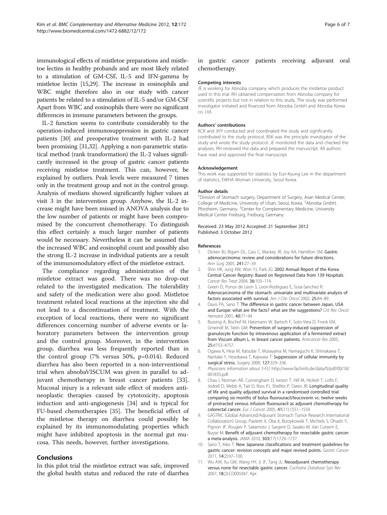<span id="page-5-0"></span>immunological effects of mistletoe preparations and mistletoe lectins in healthy probands and are most likely related to a stimulation of GM-CSF, IL-5 and IFN-gamma by mistletoe lectin [[15,29\]](#page-6-0). The increase in eosinophils and WBC might therefore also in our study with cancer patients be related to a stimulation of IL-5 and/or GM-CSF Apart from WBC and eosinophils there were no significant differences in immune parameters between the groups.

IL-2 function seems to contribute considerably to the operation-induced immunosuppression in gastric cancer patients [\[30\]](#page-6-0) and preoperative treatment with IL-2 had been promising [\[31,32](#page-6-0)]. Applying a non-parametric statistical method (rank transformation) the IL-2 values significantly increased in the group of gastric cancer patients receiving mistletoe treatment. This can, however, be explained by outliers. Peak levels were measured 7 times only in the treatment group and not in the control group. Analysis of medians showed significantly higher values at visit 3 in the intervention group. Anyhow, the IL-2 increase might have been missed in ANOVA analysis due to the low number of patients or might have been compromised by the concurrent chemotherapy. To distinguish this effect certainly a much larger number of patients would be necessary. Nevertheless it can be assumed that the increased WBC and eosinophil count and possibly also the strong IL-2 increase in individual patients are a result of the immunomodulatory effect of the mistletoe extract.

The compliance regarding administration of the mistletoe extract was good. There was no drop-out related to the investigated medication. The tolerability and safety of the medication were also good. Mistletoe treatment related local reactions at the injection site did not lead to a discontinuation of treatment. With the exception of local reactions, there were no significant differences concerning number of adverse events or laboratory parameters between the intervention group and the control group. Moreover, in the intervention group, diarrhea was less frequently reported than in the control group (7% versus 50%, p=0.014). Reduced diarrhea has also been reported in a non-interventional trial when abnobaVISCUM was given in parallel to adjuvant chemotherapy in breast cancer patients [\[33](#page-6-0)]. Mucosal injury is a relevant side effect of modern antineoplastic therapies caused by cytotoxicity, apoptosis induction and anti-angiogenesis [[34\]](#page-6-0) and is typical for FU-based chemotherapies [\[35](#page-6-0)]. The beneficial effect of the mistletoe therapy on diarrhea could possibly be explained by its immunomodulating properties which might have inhibited apoptosis in the normal gut mucosa. This needs, however, further investigations.

#### Conclusions

In this pilot trial the mistletoe extract was safe, improved the global health status and reduced the rate of diarrhea

#### Competing interests

JE is working for Abnoba company which produces the mistletoe product used in this trial. RH obtained compensation from Abnoba company for scientific projects but not in relation to this study. The study was performed investigator initiated and financed from Abnoba GmbH and Abnoba Korea co. Ltd.

#### Authors' contributions

KCK and JHY conducted and coordinated the study and significantly contributed to the study protocol. BSK was the principle investigator of the study and wrote the study protocol. JE monitored the data and checked the analyses. RH reviewed the data and prepared the manuscript. All authors have read and approved the final manuscript.

#### Acknowledgement

This work was supported for statistics by Eun-Kyung Lee in the department of statistics, EWHA Woman University, Seoul Korea.

#### Author details

<sup>1</sup> Division of Stomach surgery, Department of Surgery, Asan Medical Center College of Medicine, University of Ulsan, Seoul, Korea. <sup>2</sup>Abnoba GmbH Pforzheim, Germany. <sup>3</sup>Center for Complementary Medicine, University Medical Center Freiburg, Freiburg, Germany.

#### Received: 23 May 2012 Accepted: 21 September 2012 Published: 3 October 2012

#### References

- 1. Dicken BJ, Bigam DL, Cass C, Mackey JR, Joy AA, Hamilton SM: Gastric adenocarcinoma: review and considerations for future directions. Ann Surg 2005, 241:27–39.
- 2. Shin HR, Jung KW, Won YJ, Park JG: 2002 Annual Report of the Korea Central Cancer Registry: Based on Registered Data from 139 Hospitals. Cancer Res Treat 2004, 36:103–114.
- 3. Green D, Ponce de Leon S, Leon-Rodriguez E, Sosa-Sanchez R: Adenocarcinoma of the stomach: univariate and multivariate analysis of factors associated with survival. Am J Clin Oncol 2002, 25:84-89.
- 4. Davis PA, Sano T: The difference in gastric cancer between Japan, USA and Europe: what are the facts? what are the suggestions? Crit Rev Oncol Hematol 2001, 40:77–94.
- 5. Bussing A, Bischof M, Hatzmann W, Bartsch F, Soto-Vera D, Fronk EM, Gmeindl M, Stein GM: Prevention of surgery-induced suppression of granulocyte function by intravenous application of a fermented extract from Viscum album L. in breast cancer patients. Anticancer Res 2005, 25:4753–4757.
- 6. Ogawa K, Hirai M, Katsube T, Murayama M, Hamaguchi K, Shimakawa T, Naritake Y, Hosokawa T, Kajiwara T: Suppression of cellular immunity by surgical stress. Surgery 2000, 127:329-336.
- 7. Physicians information about 5-FU. [http://www.fachinfo.de/data/fi/pdf/00/18/](http://www.fachinfo.de/data/fi/pdf/00/18/001835.pdf) [001835.pdf.](http://www.fachinfo.de/data/fi/pdf/00/18/001835.pdf)
- 8. Chau I, Norman AR, Cunningham D, Iveson T, Hill M, Hickish T, Lofts F, Jodrell D, Webb A, Tait D, Ross PJ, Shellito P, Oates JR: Longitudinal quality of life and quality adjusted survival in a randomised controlled trial comparing six months of bolus fluorouracil/leucovorin vs. twelve weeks of protracted venous infusion fluorouracil as adjuvant chemotherapy for colorectal cancer. Eur J Cancer 2005, 41(11):1551–1559.
- 9. GASTRIC (Global Advanced/Adjuvant Stomach Tumor Research International Collaboration) Group, Paoletti X, Oba K, Burzykowski T, Michiels S, Ohashi Y, Pignon JP, Rougier P, Sakamoto J, Sargent D, Sasako M, Van Cutsem E, Buyse M: Benefit of adjuvant chemotherapy for resectable gastric cancer: a meta-analysis. JAMA 2010, 303(17):1729–1737.
- 10. Sano T, Aiko T: New Japanese classifications and treatment quidelines for gastric cancer: revision concepts and major revised points. Gastric Cancer 2011, 14(2):97–100.
- 11. Wu AW, Xu GW, Wang HY, Ji JF, Tang JL: Neoadjuvant chemotherapy versus none for resectable gastric cancer. Cochrane Database Syst Rev 2007, 18(2):CD005047. Apr.